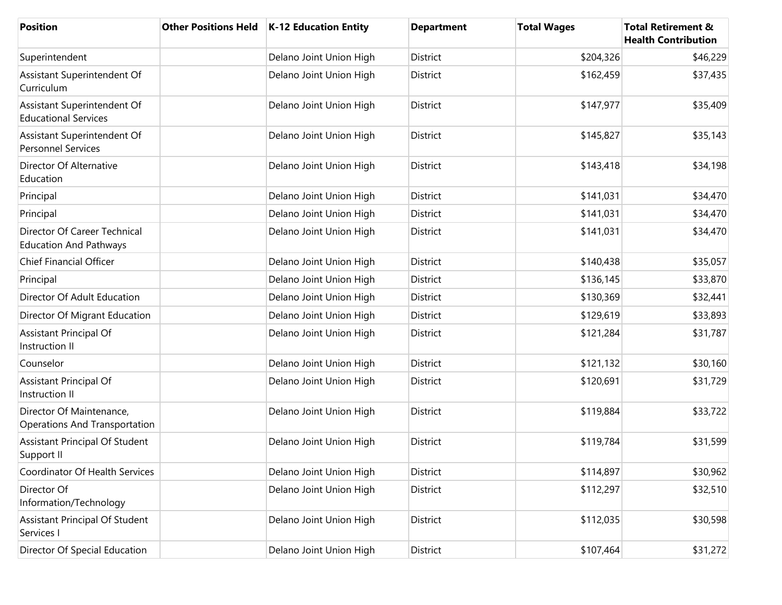| <b>Position</b>                                               | <b>Other Positions Held</b> | <b>K-12 Education Entity</b> | <b>Department</b> | <b>Total Wages</b> | <b>Total Retirement &amp;</b><br><b>Health Contribution</b> |
|---------------------------------------------------------------|-----------------------------|------------------------------|-------------------|--------------------|-------------------------------------------------------------|
| Superintendent                                                |                             | Delano Joint Union High      | District          | \$204,326          | \$46,229                                                    |
| Assistant Superintendent Of<br>Curriculum                     |                             | Delano Joint Union High      | District          | \$162,459          | \$37,435                                                    |
| Assistant Superintendent Of<br><b>Educational Services</b>    |                             | Delano Joint Union High      | District          | \$147,977          | \$35,409                                                    |
| Assistant Superintendent Of<br><b>Personnel Services</b>      |                             | Delano Joint Union High      | District          | \$145,827          | \$35,143                                                    |
| Director Of Alternative<br>Education                          |                             | Delano Joint Union High      | District          | \$143,418          | \$34,198                                                    |
| Principal                                                     |                             | Delano Joint Union High      | District          | \$141,031          | \$34,470                                                    |
| Principal                                                     |                             | Delano Joint Union High      | District          | \$141,031          | \$34,470                                                    |
| Director Of Career Technical<br><b>Education And Pathways</b> |                             | Delano Joint Union High      | District          | \$141,031          | \$34,470                                                    |
| <b>Chief Financial Officer</b>                                |                             | Delano Joint Union High      | District          | \$140,438          | \$35,057                                                    |
| Principal                                                     |                             | Delano Joint Union High      | District          | \$136,145          | \$33,870                                                    |
| Director Of Adult Education                                   |                             | Delano Joint Union High      | District          | \$130,369          | \$32,441                                                    |
| Director Of Migrant Education                                 |                             | Delano Joint Union High      | District          | \$129,619          | \$33,893                                                    |
| Assistant Principal Of<br>Instruction II                      |                             | Delano Joint Union High      | District          | \$121,284          | \$31,787                                                    |
| Counselor                                                     |                             | Delano Joint Union High      | District          | \$121,132          | \$30,160                                                    |
| Assistant Principal Of<br>Instruction II                      |                             | Delano Joint Union High      | District          | \$120,691          | \$31,729                                                    |
| Director Of Maintenance,<br>Operations And Transportation     |                             | Delano Joint Union High      | District          | \$119,884          | \$33,722                                                    |
| <b>Assistant Principal Of Student</b><br>Support II           |                             | Delano Joint Union High      | District          | \$119,784          | \$31,599                                                    |
| Coordinator Of Health Services                                |                             | Delano Joint Union High      | District          | \$114,897          | \$30,962                                                    |
| Director Of<br>Information/Technology                         |                             | Delano Joint Union High      | District          | \$112,297          | \$32,510                                                    |
| Assistant Principal Of Student<br>Services I                  |                             | Delano Joint Union High      | District          | \$112,035          | \$30,598                                                    |
| Director Of Special Education                                 |                             | Delano Joint Union High      | District          | \$107,464          | \$31,272                                                    |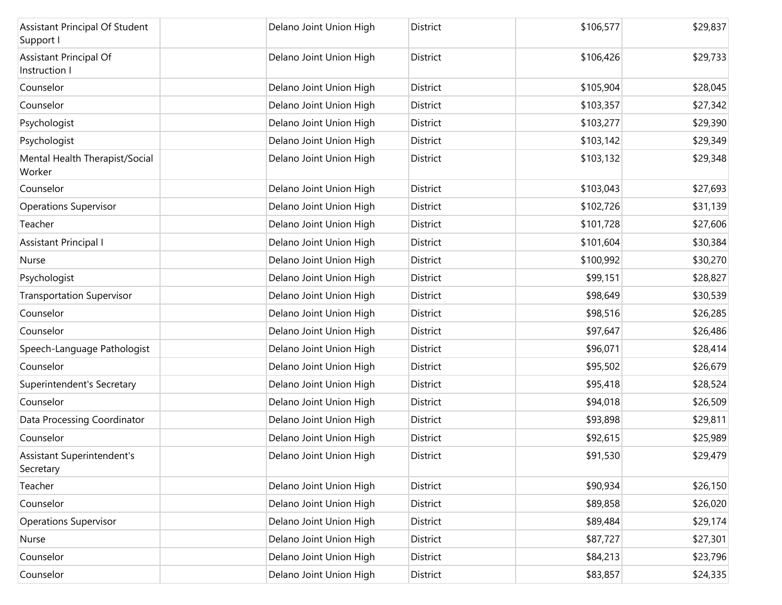| <b>Assistant Principal Of Student</b><br>Support I | Delano Joint Union High | District        | \$106,577 | \$29,837 |
|----------------------------------------------------|-------------------------|-----------------|-----------|----------|
| Assistant Principal Of<br>Instruction I            | Delano Joint Union High | District        | \$106,426 | \$29,733 |
| Counselor                                          | Delano Joint Union High | <b>District</b> | \$105,904 | \$28,045 |
| Counselor                                          | Delano Joint Union High | District        | \$103,357 | \$27,342 |
| Psychologist                                       | Delano Joint Union High | District        | \$103,277 | \$29,390 |
| Psychologist                                       | Delano Joint Union High | District        | \$103,142 | \$29,349 |
| Mental Health Therapist/Social<br>Worker           | Delano Joint Union High | <b>District</b> | \$103,132 | \$29,348 |
| Counselor                                          | Delano Joint Union High | District        | \$103,043 | \$27,693 |
| <b>Operations Supervisor</b>                       | Delano Joint Union High | District        | \$102,726 | \$31,139 |
| Teacher                                            | Delano Joint Union High | District        | \$101,728 | \$27,606 |
| <b>Assistant Principal I</b>                       | Delano Joint Union High | District        | \$101,604 | \$30,384 |
| Nurse                                              | Delano Joint Union High | District        | \$100,992 | \$30,270 |
| Psychologist                                       | Delano Joint Union High | District        | \$99,151  | \$28,827 |
| <b>Transportation Supervisor</b>                   | Delano Joint Union High | District        | \$98,649  | \$30,539 |
| Counselor                                          | Delano Joint Union High | District        | \$98,516  | \$26,285 |
| Counselor                                          | Delano Joint Union High | District        | \$97,647  | \$26,486 |
| Speech-Language Pathologist                        | Delano Joint Union High | District        | \$96,071  | \$28,414 |
| Counselor                                          | Delano Joint Union High | District        | \$95,502  | \$26,679 |
| Superintendent's Secretary                         | Delano Joint Union High | District        | \$95,418  | \$28,524 |
| Counselor                                          | Delano Joint Union High | District        | \$94,018  | \$26,509 |
| Data Processing Coordinator                        | Delano Joint Union High | District        | \$93,898  | \$29,811 |
| Counselor                                          | Delano Joint Union High | District        | \$92,615  | \$25,989 |
| <b>Assistant Superintendent's</b><br>Secretary     | Delano Joint Union High | District        | \$91,530  | \$29,479 |
| Teacher                                            | Delano Joint Union High | District        | \$90,934  | \$26,150 |
| Counselor                                          | Delano Joint Union High | District        | \$89,858  | \$26,020 |
| <b>Operations Supervisor</b>                       | Delano Joint Union High | District        | \$89,484  | \$29,174 |
| Nurse                                              | Delano Joint Union High | District        | \$87,727  | \$27,301 |
| Counselor                                          | Delano Joint Union High | District        | \$84,213  | \$23,796 |
| Counselor                                          | Delano Joint Union High | District        | \$83,857  | \$24,335 |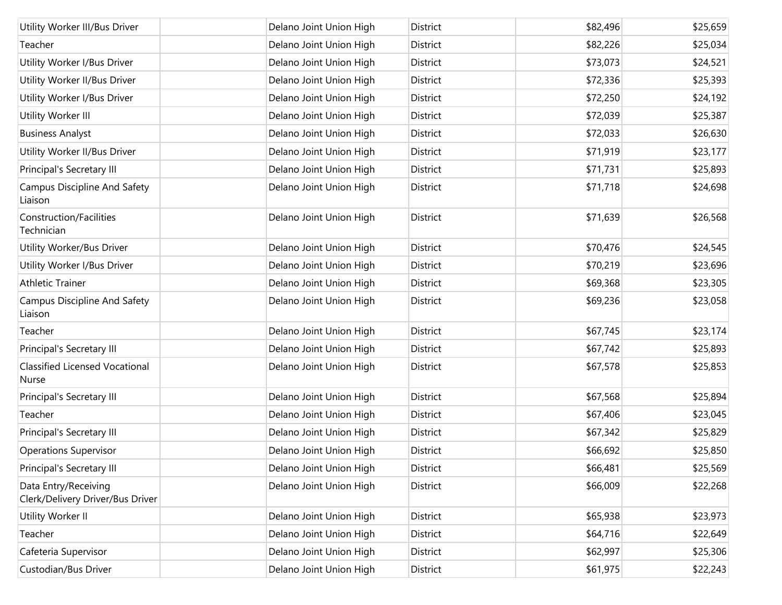| Utility Worker III/Bus Driver                            | Delano Joint Union High | District | \$82,496 | \$25,659 |
|----------------------------------------------------------|-------------------------|----------|----------|----------|
| Teacher                                                  | Delano Joint Union High | District | \$82,226 | \$25,034 |
| Utility Worker I/Bus Driver                              | Delano Joint Union High | District | \$73,073 | \$24,521 |
| Utility Worker II/Bus Driver                             | Delano Joint Union High | District | \$72,336 | \$25,393 |
| Utility Worker I/Bus Driver                              | Delano Joint Union High | District | \$72,250 | \$24,192 |
| Utility Worker III                                       | Delano Joint Union High | District | \$72,039 | \$25,387 |
| <b>Business Analyst</b>                                  | Delano Joint Union High | District | \$72,033 | \$26,630 |
| Utility Worker II/Bus Driver                             | Delano Joint Union High | District | \$71,919 | \$23,177 |
| Principal's Secretary III                                | Delano Joint Union High | District | \$71,731 | \$25,893 |
| <b>Campus Discipline And Safety</b><br>Liaison           | Delano Joint Union High | District | \$71,718 | \$24,698 |
| Construction/Facilities<br>Technician                    | Delano Joint Union High | District | \$71,639 | \$26,568 |
| Utility Worker/Bus Driver                                | Delano Joint Union High | District | \$70,476 | \$24,545 |
| Utility Worker I/Bus Driver                              | Delano Joint Union High | District | \$70,219 | \$23,696 |
| <b>Athletic Trainer</b>                                  | Delano Joint Union High | District | \$69,368 | \$23,305 |
| Campus Discipline And Safety<br>Liaison                  | Delano Joint Union High | District | \$69,236 | \$23,058 |
| Teacher                                                  | Delano Joint Union High | District | \$67,745 | \$23,174 |
| Principal's Secretary III                                | Delano Joint Union High | District | \$67,742 | \$25,893 |
| <b>Classified Licensed Vocational</b><br>Nurse           | Delano Joint Union High | District | \$67,578 | \$25,853 |
| Principal's Secretary III                                | Delano Joint Union High | District | \$67,568 | \$25,894 |
| Teacher                                                  | Delano Joint Union High | District | \$67,406 | \$23,045 |
| Principal's Secretary III                                | Delano Joint Union High | District | \$67,342 | \$25,829 |
| <b>Operations Supervisor</b>                             | Delano Joint Union High | District | \$66,692 | \$25,850 |
| Principal's Secretary III                                | Delano Joint Union High | District | \$66,481 | \$25,569 |
| Data Entry/Receiving<br>Clerk/Delivery Driver/Bus Driver | Delano Joint Union High | District | \$66,009 | \$22,268 |
| Utility Worker II                                        | Delano Joint Union High | District | \$65,938 | \$23,973 |
| Teacher                                                  | Delano Joint Union High | District | \$64,716 | \$22,649 |
| Cafeteria Supervisor                                     | Delano Joint Union High | District | \$62,997 | \$25,306 |
| Custodian/Bus Driver                                     | Delano Joint Union High | District | \$61,975 | \$22,243 |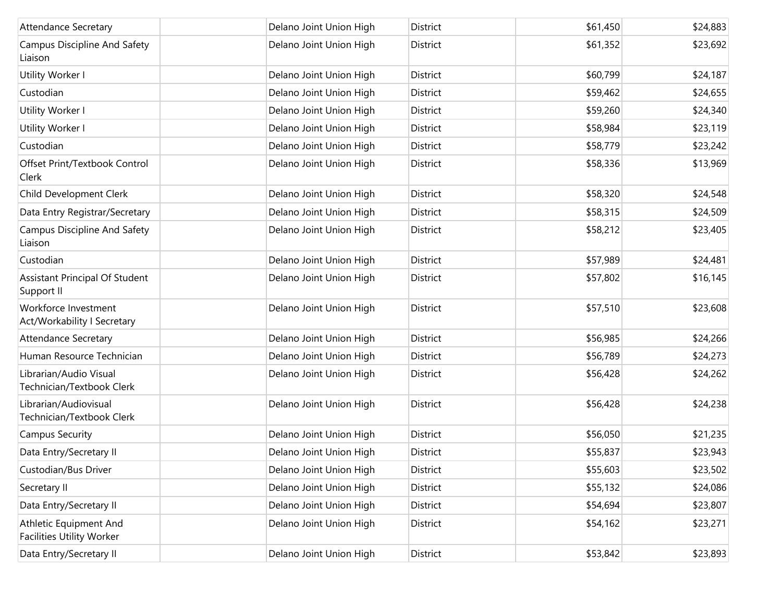| <b>Attendance Secretary</b>                                | Delano Joint Union High | District        | \$61,450 | \$24,883 |
|------------------------------------------------------------|-------------------------|-----------------|----------|----------|
| Campus Discipline And Safety<br>Liaison                    | Delano Joint Union High | District        | \$61,352 | \$23,692 |
| Utility Worker I                                           | Delano Joint Union High | District        | \$60,799 | \$24,187 |
| Custodian                                                  | Delano Joint Union High | <b>District</b> | \$59,462 | \$24,655 |
| Utility Worker I                                           | Delano Joint Union High | District        | \$59,260 | \$24,340 |
| Utility Worker I                                           | Delano Joint Union High | District        | \$58,984 | \$23,119 |
| Custodian                                                  | Delano Joint Union High | District        | \$58,779 | \$23,242 |
| Offset Print/Textbook Control<br>Clerk                     | Delano Joint Union High | District        | \$58,336 | \$13,969 |
| Child Development Clerk                                    | Delano Joint Union High | District        | \$58,320 | \$24,548 |
| Data Entry Registrar/Secretary                             | Delano Joint Union High | <b>District</b> | \$58,315 | \$24,509 |
| Campus Discipline And Safety<br>Liaison                    | Delano Joint Union High | District        | \$58,212 | \$23,405 |
| Custodian                                                  | Delano Joint Union High | District        | \$57,989 | \$24,481 |
| Assistant Principal Of Student<br>Support II               | Delano Joint Union High | <b>District</b> | \$57,802 | \$16,145 |
| Workforce Investment<br>Act/Workability I Secretary        | Delano Joint Union High | District        | \$57,510 | \$23,608 |
| <b>Attendance Secretary</b>                                | Delano Joint Union High | District        | \$56,985 | \$24,266 |
| Human Resource Technician                                  | Delano Joint Union High | District        | \$56,789 | \$24,273 |
| Librarian/Audio Visual<br>Technician/Textbook Clerk        | Delano Joint Union High | District        | \$56,428 | \$24,262 |
| Librarian/Audiovisual<br>Technician/Textbook Clerk         | Delano Joint Union High | District        | \$56,428 | \$24,238 |
| <b>Campus Security</b>                                     | Delano Joint Union High | District        | \$56,050 | \$21,235 |
| Data Entry/Secretary II                                    | Delano Joint Union High | District        | \$55,837 | \$23,943 |
| Custodian/Bus Driver                                       | Delano Joint Union High | District        | \$55,603 | \$23,502 |
| Secretary II                                               | Delano Joint Union High | District        | \$55,132 | \$24,086 |
| Data Entry/Secretary II                                    | Delano Joint Union High | District        | \$54,694 | \$23,807 |
| Athletic Equipment And<br><b>Facilities Utility Worker</b> | Delano Joint Union High | District        | \$54,162 | \$23,271 |
| Data Entry/Secretary II                                    | Delano Joint Union High | District        | \$53,842 | \$23,893 |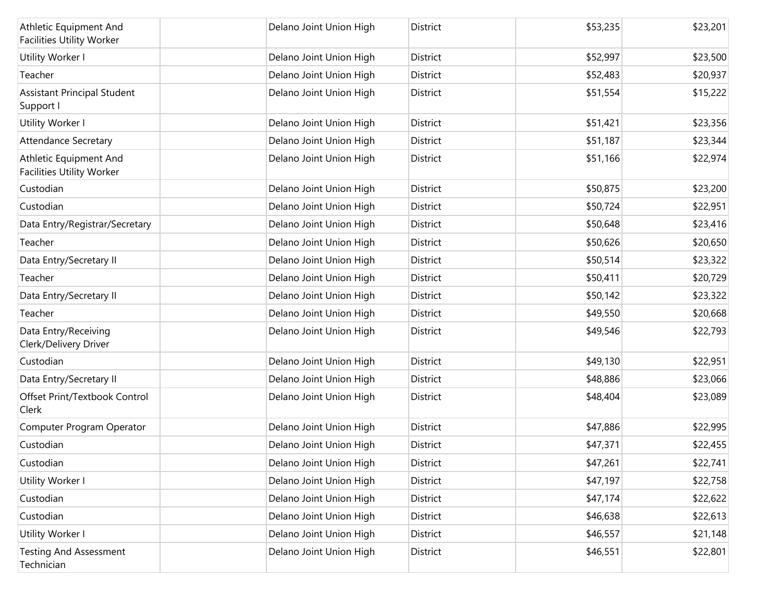| Athletic Equipment And<br><b>Facilities Utility Worker</b> | Delano Joint Union High | District        | \$53,235 | \$23,201 |
|------------------------------------------------------------|-------------------------|-----------------|----------|----------|
| Utility Worker I                                           | Delano Joint Union High | District        | \$52,997 | \$23,500 |
| Teacher                                                    | Delano Joint Union High | District        | \$52,483 | \$20,937 |
| <b>Assistant Principal Student</b><br>Support I            | Delano Joint Union High | District        | \$51,554 | \$15,222 |
| Utility Worker I                                           | Delano Joint Union High | <b>District</b> | \$51,421 | \$23,356 |
| <b>Attendance Secretary</b>                                | Delano Joint Union High | District        | \$51,187 | \$23,344 |
| Athletic Equipment And<br><b>Facilities Utility Worker</b> | Delano Joint Union High | District        | \$51,166 | \$22,974 |
| Custodian                                                  | Delano Joint Union High | District        | \$50,875 | \$23,200 |
| Custodian                                                  | Delano Joint Union High | District        | \$50,724 | \$22,951 |
| Data Entry/Registrar/Secretary                             | Delano Joint Union High | District        | \$50,648 | \$23,416 |
| Teacher                                                    | Delano Joint Union High | District        | \$50,626 | \$20,650 |
| Data Entry/Secretary II                                    | Delano Joint Union High | District        | \$50,514 | \$23,322 |
| Teacher                                                    | Delano Joint Union High | <b>District</b> | \$50,411 | \$20,729 |
| Data Entry/Secretary II                                    | Delano Joint Union High | District        | \$50,142 | \$23,322 |
| Teacher                                                    | Delano Joint Union High | District        | \$49,550 | \$20,668 |
| Data Entry/Receiving<br>Clerk/Delivery Driver              | Delano Joint Union High | District        | \$49,546 | \$22,793 |
| Custodian                                                  | Delano Joint Union High | District        | \$49,130 | \$22,951 |
| Data Entry/Secretary II                                    | Delano Joint Union High | District        | \$48,886 | \$23,066 |
| Offset Print/Textbook Control<br>Clerk                     | Delano Joint Union High | District        | \$48,404 | \$23,089 |
| Computer Program Operator                                  | Delano Joint Union High | <b>District</b> | \$47,886 | \$22,995 |
| Custodian                                                  | Delano Joint Union High | District        | \$47,371 | \$22,455 |
| Custodian                                                  | Delano Joint Union High | District        | \$47,261 | \$22,741 |
| Utility Worker I                                           | Delano Joint Union High | District        | \$47,197 | \$22,758 |
| Custodian                                                  | Delano Joint Union High | District        | \$47,174 | \$22,622 |
| Custodian                                                  | Delano Joint Union High | District        | \$46,638 | \$22,613 |
| Utility Worker I                                           | Delano Joint Union High | District        | \$46,557 | \$21,148 |
| <b>Testing And Assessment</b><br>Technician                | Delano Joint Union High | District        | \$46,551 | \$22,801 |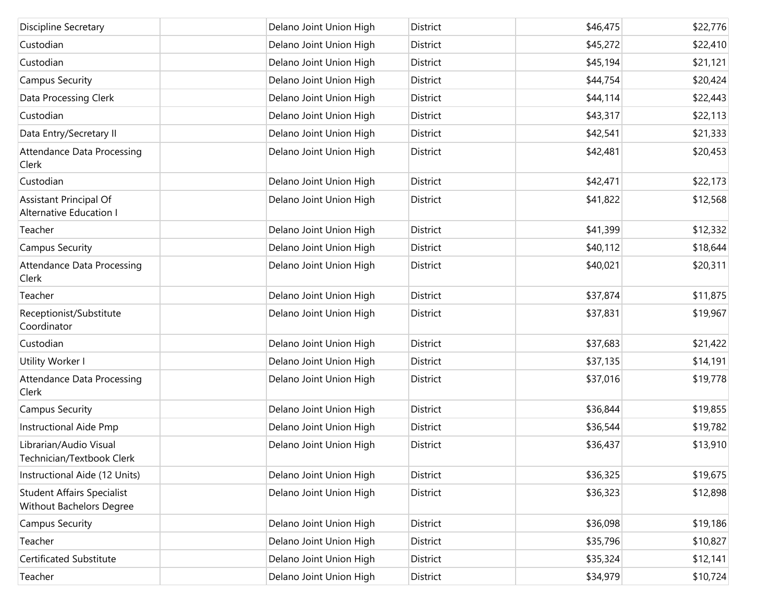| Discipline Secretary                                          | Delano Joint Union High | District        | \$46,475 | \$22,776 |
|---------------------------------------------------------------|-------------------------|-----------------|----------|----------|
| Custodian                                                     | Delano Joint Union High | District        | \$45,272 | \$22,410 |
| Custodian                                                     | Delano Joint Union High | District        | \$45,194 | \$21,121 |
| <b>Campus Security</b>                                        | Delano Joint Union High | District        | \$44,754 | \$20,424 |
| Data Processing Clerk                                         | Delano Joint Union High | District        | \$44,114 | \$22,443 |
| Custodian                                                     | Delano Joint Union High | District        | \$43,317 | \$22,113 |
| Data Entry/Secretary II                                       | Delano Joint Union High | District        | \$42,541 | \$21,333 |
| Attendance Data Processing<br>Clerk                           | Delano Joint Union High | District        | \$42,481 | \$20,453 |
| Custodian                                                     | Delano Joint Union High | District        | \$42,471 | \$22,173 |
| Assistant Principal Of<br>Alternative Education I             | Delano Joint Union High | District        | \$41,822 | \$12,568 |
| Teacher                                                       | Delano Joint Union High | District        | \$41,399 | \$12,332 |
| <b>Campus Security</b>                                        | Delano Joint Union High | District        | \$40,112 | \$18,644 |
| Attendance Data Processing<br>Clerk                           | Delano Joint Union High | <b>District</b> | \$40,021 | \$20,311 |
| Teacher                                                       | Delano Joint Union High | District        | \$37,874 | \$11,875 |
| Receptionist/Substitute<br>Coordinator                        | Delano Joint Union High | District        | \$37,831 | \$19,967 |
| Custodian                                                     | Delano Joint Union High | District        | \$37,683 | \$21,422 |
| Utility Worker I                                              | Delano Joint Union High | District        | \$37,135 | \$14,191 |
| Attendance Data Processing<br>Clerk                           | Delano Joint Union High | District        | \$37,016 | \$19,778 |
| <b>Campus Security</b>                                        | Delano Joint Union High | District        | \$36,844 | \$19,855 |
| <b>Instructional Aide Pmp</b>                                 | Delano Joint Union High | District        | \$36,544 | \$19,782 |
| Librarian/Audio Visual<br>Technician/Textbook Clerk           | Delano Joint Union High | <b>District</b> | \$36,437 | \$13,910 |
| Instructional Aide (12 Units)                                 | Delano Joint Union High | District        | \$36,325 | \$19,675 |
| <b>Student Affairs Specialist</b><br>Without Bachelors Degree | Delano Joint Union High | District        | \$36,323 | \$12,898 |
| <b>Campus Security</b>                                        | Delano Joint Union High | District        | \$36,098 | \$19,186 |
| Teacher                                                       | Delano Joint Union High | District        | \$35,796 | \$10,827 |
| <b>Certificated Substitute</b>                                | Delano Joint Union High | District        | \$35,324 | \$12,141 |
| Teacher                                                       | Delano Joint Union High | District        | \$34,979 | \$10,724 |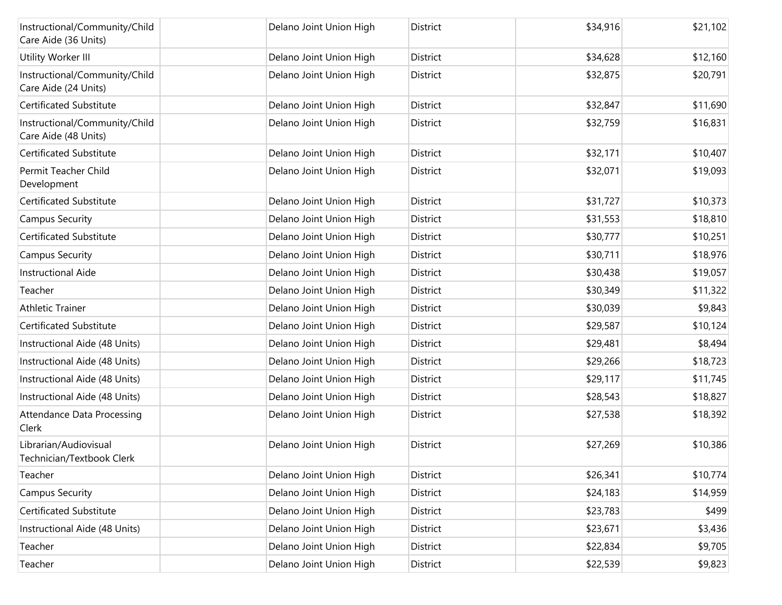| Instructional/Community/Child<br>Care Aide (36 Units) | Delano Joint Union High | District        | \$34,916 | \$21,102 |
|-------------------------------------------------------|-------------------------|-----------------|----------|----------|
| Utility Worker III                                    | Delano Joint Union High | District        | \$34,628 | \$12,160 |
| Instructional/Community/Child<br>Care Aide (24 Units) | Delano Joint Union High | District        | \$32,875 | \$20,791 |
| Certificated Substitute                               | Delano Joint Union High | <b>District</b> | \$32,847 | \$11,690 |
| Instructional/Community/Child<br>Care Aide (48 Units) | Delano Joint Union High | District        | \$32,759 | \$16,831 |
| Certificated Substitute                               | Delano Joint Union High | District        | \$32,171 | \$10,407 |
| Permit Teacher Child<br>Development                   | Delano Joint Union High | District        | \$32,071 | \$19,093 |
| Certificated Substitute                               | Delano Joint Union High | District        | \$31,727 | \$10,373 |
| <b>Campus Security</b>                                | Delano Joint Union High | District        | \$31,553 | \$18,810 |
| Certificated Substitute                               | Delano Joint Union High | District        | \$30,777 | \$10,251 |
| <b>Campus Security</b>                                | Delano Joint Union High | District        | \$30,711 | \$18,976 |
| <b>Instructional Aide</b>                             | Delano Joint Union High | District        | \$30,438 | \$19,057 |
| Teacher                                               | Delano Joint Union High | District        | \$30,349 | \$11,322 |
| <b>Athletic Trainer</b>                               | Delano Joint Union High | District        | \$30,039 | \$9,843  |
| Certificated Substitute                               | Delano Joint Union High | District        | \$29,587 | \$10,124 |
| Instructional Aide (48 Units)                         | Delano Joint Union High | District        | \$29,481 | \$8,494  |
| Instructional Aide (48 Units)                         | Delano Joint Union High | District        | \$29,266 | \$18,723 |
| Instructional Aide (48 Units)                         | Delano Joint Union High | District        | \$29,117 | \$11,745 |
| Instructional Aide (48 Units)                         | Delano Joint Union High | District        | \$28,543 | \$18,827 |
| Attendance Data Processing<br>Clerk                   | Delano Joint Union High | District        | \$27,538 | \$18,392 |
| Librarian/Audiovisual<br>Technician/Textbook Clerk    | Delano Joint Union High | District        | \$27,269 | \$10,386 |
| Teacher                                               | Delano Joint Union High | District        | \$26,341 | \$10,774 |
| <b>Campus Security</b>                                | Delano Joint Union High | District        | \$24,183 | \$14,959 |
| Certificated Substitute                               | Delano Joint Union High | District        | \$23,783 | \$499    |
| Instructional Aide (48 Units)                         | Delano Joint Union High | District        | \$23,671 | \$3,436  |
| Teacher                                               | Delano Joint Union High | District        | \$22,834 | \$9,705  |
| Teacher                                               | Delano Joint Union High | District        | \$22,539 | \$9,823  |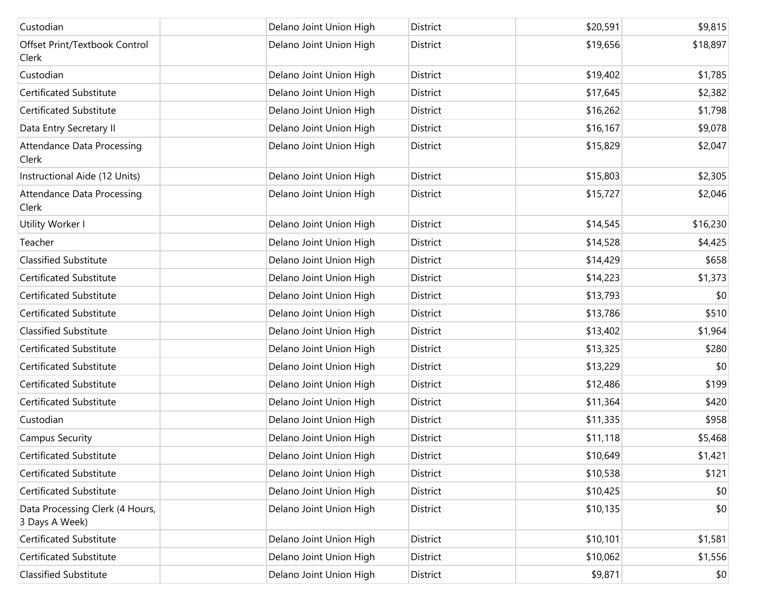| Custodian                                         | Delano Joint Union High | District        | \$20,591 | \$9,815  |
|---------------------------------------------------|-------------------------|-----------------|----------|----------|
| Offset Print/Textbook Control<br>Clerk            | Delano Joint Union High | District        | \$19,656 | \$18,897 |
| Custodian                                         | Delano Joint Union High | District        | \$19,402 | \$1,785  |
| Certificated Substitute                           | Delano Joint Union High | District        | \$17,645 | \$2,382  |
| Certificated Substitute                           | Delano Joint Union High | District        | \$16,262 | \$1,798  |
| Data Entry Secretary II                           | Delano Joint Union High | <b>District</b> | \$16,167 | \$9,078  |
| Attendance Data Processing<br>Clerk               | Delano Joint Union High | District        | \$15,829 | \$2,047  |
| Instructional Aide (12 Units)                     | Delano Joint Union High | District        | \$15,803 | \$2,305  |
| Attendance Data Processing<br>Clerk               | Delano Joint Union High | District        | \$15,727 | \$2,046  |
| Utility Worker I                                  | Delano Joint Union High | <b>District</b> | \$14,545 | \$16,230 |
| Teacher                                           | Delano Joint Union High | <b>District</b> | \$14,528 | \$4,425  |
| <b>Classified Substitute</b>                      | Delano Joint Union High | District        | \$14,429 | \$658    |
| Certificated Substitute                           | Delano Joint Union High | District        | \$14,223 | \$1,373  |
| Certificated Substitute                           | Delano Joint Union High | District        | \$13,793 | \$0      |
| Certificated Substitute                           | Delano Joint Union High | District        | \$13,786 | \$510    |
| <b>Classified Substitute</b>                      | Delano Joint Union High | District        | \$13,402 | \$1,964  |
| Certificated Substitute                           | Delano Joint Union High | District        | \$13,325 | \$280    |
| <b>Certificated Substitute</b>                    | Delano Joint Union High | District        | \$13,229 | \$0      |
| Certificated Substitute                           | Delano Joint Union High | District        | \$12,486 | \$199    |
| <b>Certificated Substitute</b>                    | Delano Joint Union High | District        | \$11,364 | \$420    |
| Custodian                                         | Delano Joint Union High | District        | \$11,335 | \$958    |
| <b>Campus Security</b>                            | Delano Joint Union High | District        | \$11,118 | \$5,468  |
| <b>Certificated Substitute</b>                    | Delano Joint Union High | <b>District</b> | \$10,649 | \$1,421  |
| <b>Certificated Substitute</b>                    | Delano Joint Union High | District        | \$10,538 | \$121    |
| <b>Certificated Substitute</b>                    | Delano Joint Union High | District        | \$10,425 | \$0      |
| Data Processing Clerk (4 Hours,<br>3 Days A Week) | Delano Joint Union High | District        | \$10,135 | \$0      |
| Certificated Substitute                           | Delano Joint Union High | District        | \$10,101 | \$1,581  |
| Certificated Substitute                           | Delano Joint Union High | District        | \$10,062 | \$1,556  |
| <b>Classified Substitute</b>                      | Delano Joint Union High | District        | \$9,871  | \$0      |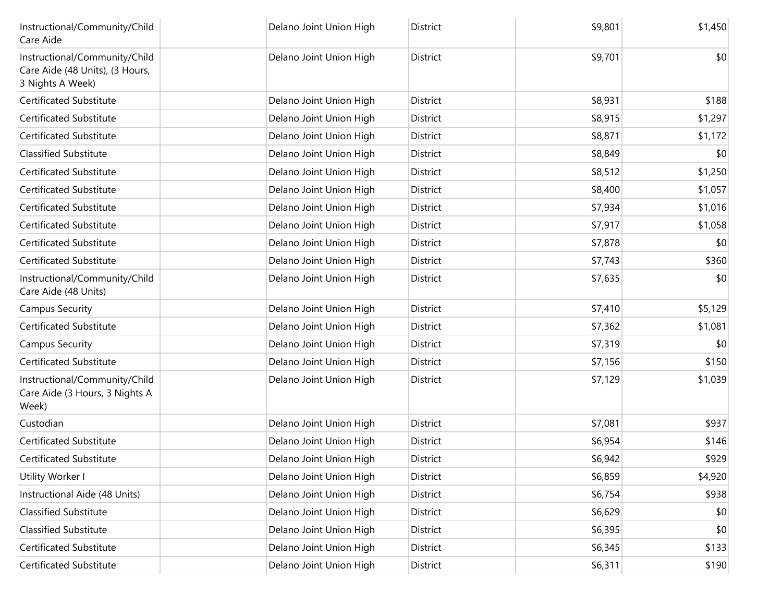| Instructional/Community/Child<br>Care Aide                                           | Delano Joint Union High | District        | \$9,801 | \$1,450 |
|--------------------------------------------------------------------------------------|-------------------------|-----------------|---------|---------|
| Instructional/Community/Child<br>Care Aide (48 Units), (3 Hours,<br>3 Nights A Week) | Delano Joint Union High | District        | \$9,701 | \$0     |
| Certificated Substitute                                                              | Delano Joint Union High | District        | \$8,931 | \$188   |
| <b>Certificated Substitute</b>                                                       | Delano Joint Union High | District        | \$8,915 | \$1,297 |
| Certificated Substitute                                                              | Delano Joint Union High | District        | \$8,871 | \$1,172 |
| <b>Classified Substitute</b>                                                         | Delano Joint Union High | <b>District</b> | \$8,849 | \$0     |
| Certificated Substitute                                                              | Delano Joint Union High | District        | \$8,512 | \$1,250 |
| <b>Certificated Substitute</b>                                                       | Delano Joint Union High | District        | \$8,400 | \$1,057 |
| Certificated Substitute                                                              | Delano Joint Union High | District        | \$7,934 | \$1,016 |
| Certificated Substitute                                                              | Delano Joint Union High | District        | \$7,917 | \$1,058 |
| Certificated Substitute                                                              | Delano Joint Union High | <b>District</b> | \$7,878 | \$0     |
| <b>Certificated Substitute</b>                                                       | Delano Joint Union High | District        | \$7,743 | \$360   |
| Instructional/Community/Child<br>Care Aide (48 Units)                                | Delano Joint Union High | District        | \$7,635 | \$0     |
| <b>Campus Security</b>                                                               | Delano Joint Union High | District        | \$7,410 | \$5,129 |
| Certificated Substitute                                                              | Delano Joint Union High | District        | \$7,362 | \$1,081 |
| <b>Campus Security</b>                                                               | Delano Joint Union High | District        | \$7,319 | \$0     |
| Certificated Substitute                                                              | Delano Joint Union High | District        | \$7,156 | \$150   |
| Instructional/Community/Child<br>Care Aide (3 Hours, 3 Nights A<br>Week)             | Delano Joint Union High | District        | \$7,129 | \$1,039 |
| Custodian                                                                            | Delano Joint Union High | District        | \$7,081 | \$937   |
| Certificated Substitute                                                              | Delano Joint Union High | District        | \$6,954 | \$146   |
| Certificated Substitute                                                              | Delano Joint Union High | District        | \$6,942 | \$929   |
| Utility Worker I                                                                     | Delano Joint Union High | District        | \$6,859 | \$4,920 |
| Instructional Aide (48 Units)                                                        | Delano Joint Union High | District        | \$6,754 | \$938   |
| <b>Classified Substitute</b>                                                         | Delano Joint Union High | District        | \$6,629 | \$0     |
| <b>Classified Substitute</b>                                                         | Delano Joint Union High | District        | \$6,395 | \$0     |
| Certificated Substitute                                                              | Delano Joint Union High | District        | \$6,345 | \$133   |
| Certificated Substitute                                                              | Delano Joint Union High | District        | \$6,311 | \$190   |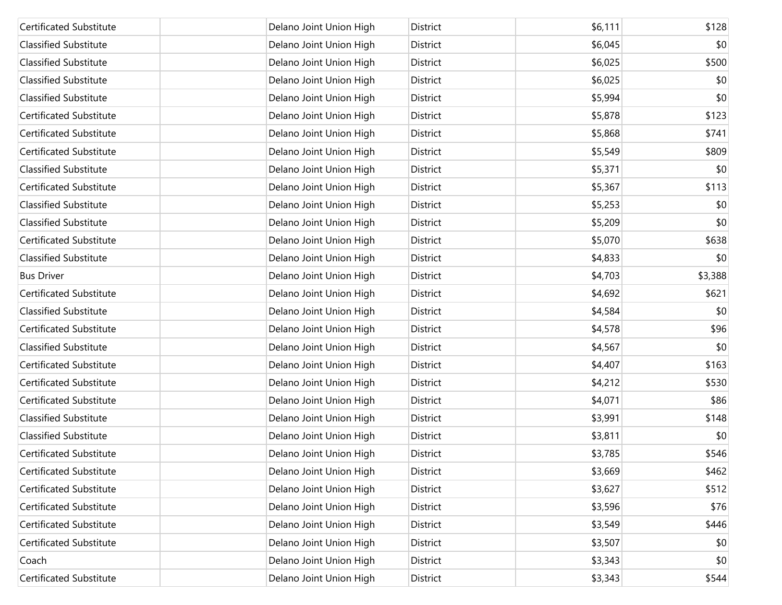| <b>Certificated Substitute</b> | Delano Joint Union High | District | \$6,111 | \$128   |
|--------------------------------|-------------------------|----------|---------|---------|
| <b>Classified Substitute</b>   | Delano Joint Union High | District | \$6,045 | \$0     |
| <b>Classified Substitute</b>   | Delano Joint Union High | District | \$6,025 | \$500   |
| <b>Classified Substitute</b>   | Delano Joint Union High | District | \$6,025 | \$0     |
| <b>Classified Substitute</b>   | Delano Joint Union High | District | \$5,994 | \$0     |
| <b>Certificated Substitute</b> | Delano Joint Union High | District | \$5,878 | \$123   |
| Certificated Substitute        | Delano Joint Union High | District | \$5,868 | \$741   |
| <b>Certificated Substitute</b> | Delano Joint Union High | District | \$5,549 | \$809   |
| <b>Classified Substitute</b>   | Delano Joint Union High | District | \$5,371 | \$0     |
| <b>Certificated Substitute</b> | Delano Joint Union High | District | \$5,367 | \$113   |
| <b>Classified Substitute</b>   | Delano Joint Union High | District | \$5,253 | \$0     |
| Classified Substitute          | Delano Joint Union High | District | \$5,209 | \$0     |
| <b>Certificated Substitute</b> | Delano Joint Union High | District | \$5,070 | \$638   |
| <b>Classified Substitute</b>   | Delano Joint Union High | District | \$4,833 | \$0     |
| <b>Bus Driver</b>              | Delano Joint Union High | District | \$4,703 | \$3,388 |
| <b>Certificated Substitute</b> | Delano Joint Union High | District | \$4,692 | \$621   |
| <b>Classified Substitute</b>   | Delano Joint Union High | District | \$4,584 | \$0     |
| <b>Certificated Substitute</b> | Delano Joint Union High | District | \$4,578 | \$96    |
| <b>Classified Substitute</b>   | Delano Joint Union High | District | \$4,567 | \$0     |
| Certificated Substitute        | Delano Joint Union High | District | \$4,407 | \$163   |
| <b>Certificated Substitute</b> | Delano Joint Union High | District | \$4,212 | \$530   |
| <b>Certificated Substitute</b> | Delano Joint Union High | District | \$4,071 | \$86    |
| <b>Classified Substitute</b>   | Delano Joint Union High | District | \$3,991 | \$148   |
| <b>Classified Substitute</b>   | Delano Joint Union High | District | \$3,811 | \$0     |
| <b>Certificated Substitute</b> | Delano Joint Union High | District | \$3,785 | \$546   |
| Certificated Substitute        | Delano Joint Union High | District | \$3,669 | \$462   |
| Certificated Substitute        | Delano Joint Union High | District | \$3,627 | \$512   |
| Certificated Substitute        | Delano Joint Union High | District | \$3,596 | \$76    |
| Certificated Substitute        | Delano Joint Union High | District | \$3,549 | \$446   |
| Certificated Substitute        | Delano Joint Union High | District | \$3,507 | \$0     |
| Coach                          | Delano Joint Union High | District | \$3,343 | \$0     |
| Certificated Substitute        | Delano Joint Union High | District | \$3,343 | \$544   |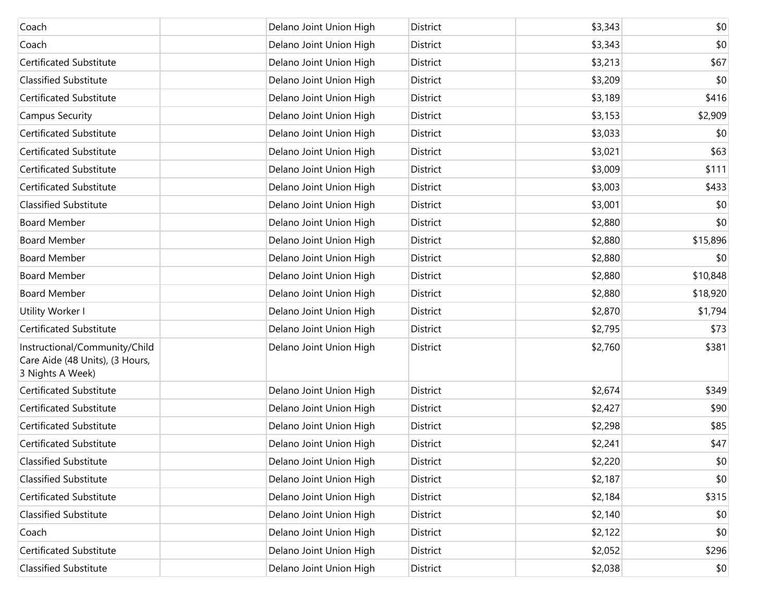| Coach                                                                                | Delano Joint Union High | District | \$3,343 | \$0      |
|--------------------------------------------------------------------------------------|-------------------------|----------|---------|----------|
| Coach                                                                                | Delano Joint Union High | District | \$3,343 | \$0      |
| Certificated Substitute                                                              | Delano Joint Union High | District | \$3,213 | \$67     |
| <b>Classified Substitute</b>                                                         | Delano Joint Union High | District | \$3,209 | \$0      |
| Certificated Substitute                                                              | Delano Joint Union High | District | \$3,189 | \$416    |
| <b>Campus Security</b>                                                               | Delano Joint Union High | District | \$3,153 | \$2,909  |
| Certificated Substitute                                                              | Delano Joint Union High | District | \$3,033 | \$0      |
| Certificated Substitute                                                              | Delano Joint Union High | District | \$3,021 | \$63     |
| Certificated Substitute                                                              | Delano Joint Union High | District | \$3,009 | \$111    |
| Certificated Substitute                                                              | Delano Joint Union High | District | \$3,003 | \$433    |
| <b>Classified Substitute</b>                                                         | Delano Joint Union High | District | \$3,001 | \$0      |
| <b>Board Member</b>                                                                  | Delano Joint Union High | District | \$2,880 | \$0      |
| <b>Board Member</b>                                                                  | Delano Joint Union High | District | \$2,880 | \$15,896 |
| <b>Board Member</b>                                                                  | Delano Joint Union High | District | \$2,880 | \$0      |
| <b>Board Member</b>                                                                  | Delano Joint Union High | District | \$2,880 | \$10,848 |
| <b>Board Member</b>                                                                  | Delano Joint Union High | District | \$2,880 | \$18,920 |
| Utility Worker I                                                                     | Delano Joint Union High | District | \$2,870 | \$1,794  |
| <b>Certificated Substitute</b>                                                       | Delano Joint Union High | District | \$2,795 | \$73     |
| Instructional/Community/Child<br>Care Aide (48 Units), (3 Hours,<br>3 Nights A Week) | Delano Joint Union High | District | \$2,760 | \$381    |
| Certificated Substitute                                                              | Delano Joint Union High | District | \$2,674 | \$349    |
| Certificated Substitute                                                              | Delano Joint Union High | District | \$2,427 | \$90     |
| Certificated Substitute                                                              | Delano Joint Union High | District | \$2,298 | \$85     |
| Certificated Substitute                                                              | Delano Joint Union High | District | \$2,241 | \$47     |
| <b>Classified Substitute</b>                                                         | Delano Joint Union High | District | \$2,220 | \$0      |
| <b>Classified Substitute</b>                                                         | Delano Joint Union High | District | \$2,187 | \$0      |
| Certificated Substitute                                                              | Delano Joint Union High | District | \$2,184 | \$315    |
| <b>Classified Substitute</b>                                                         | Delano Joint Union High | District | \$2,140 | \$0      |
| Coach                                                                                | Delano Joint Union High | District | \$2,122 | \$0      |
| Certificated Substitute                                                              | Delano Joint Union High | District | \$2,052 | \$296    |
| <b>Classified Substitute</b>                                                         | Delano Joint Union High | District | \$2,038 | \$0      |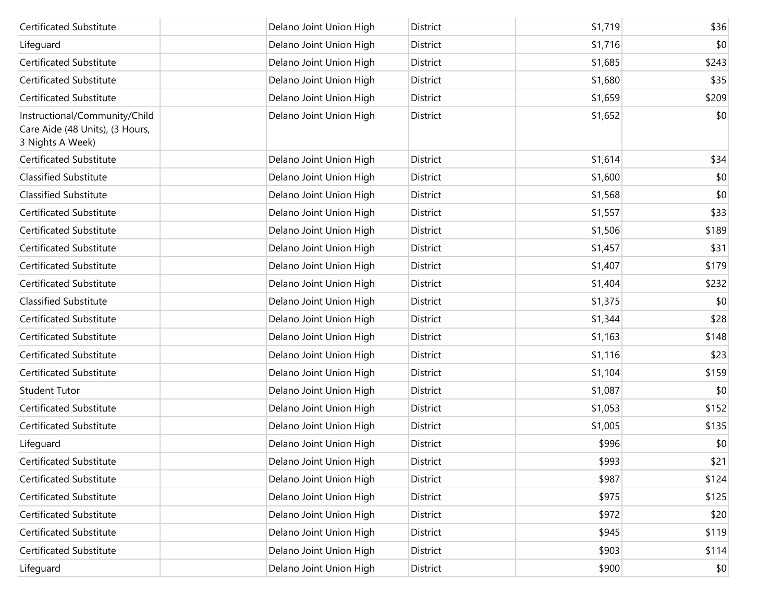| Certificated Substitute                                                              | Delano Joint Union High | District        | \$1,719 | \$36  |
|--------------------------------------------------------------------------------------|-------------------------|-----------------|---------|-------|
| Lifeguard                                                                            | Delano Joint Union High | District        | \$1,716 | \$0   |
| <b>Certificated Substitute</b>                                                       | Delano Joint Union High | District        | \$1,685 | \$243 |
| Certificated Substitute                                                              | Delano Joint Union High | District        | \$1,680 | \$35  |
| Certificated Substitute                                                              | Delano Joint Union High | District        | \$1,659 | \$209 |
| Instructional/Community/Child<br>Care Aide (48 Units), (3 Hours,<br>3 Nights A Week) | Delano Joint Union High | District        | \$1,652 | \$0   |
| Certificated Substitute                                                              | Delano Joint Union High | District        | \$1,614 | \$34  |
| <b>Classified Substitute</b>                                                         | Delano Joint Union High | District        | \$1,600 | \$0   |
| <b>Classified Substitute</b>                                                         | Delano Joint Union High | District        | \$1,568 | \$0   |
| Certificated Substitute                                                              | Delano Joint Union High | District        | \$1,557 | \$33  |
| Certificated Substitute                                                              | Delano Joint Union High | District        | \$1,506 | \$189 |
| Certificated Substitute                                                              | Delano Joint Union High | <b>District</b> | \$1,457 | \$31  |
| Certificated Substitute                                                              | Delano Joint Union High | District        | \$1,407 | \$179 |
| Certificated Substitute                                                              | Delano Joint Union High | District        | \$1,404 | \$232 |
| <b>Classified Substitute</b>                                                         | Delano Joint Union High | District        | \$1,375 | \$0   |
| Certificated Substitute                                                              | Delano Joint Union High | District        | \$1,344 | \$28  |
| Certificated Substitute                                                              | Delano Joint Union High | District        | \$1,163 | \$148 |
| Certificated Substitute                                                              | Delano Joint Union High | District        | \$1,116 | \$23  |
| Certificated Substitute                                                              | Delano Joint Union High | District        | \$1,104 | \$159 |
| <b>Student Tutor</b>                                                                 | Delano Joint Union High | District        | \$1,087 | \$0   |
| Certificated Substitute                                                              | Delano Joint Union High | District        | \$1,053 | \$152 |
| Certificated Substitute                                                              | Delano Joint Union High | District        | \$1,005 | \$135 |
| Lifeguard                                                                            | Delano Joint Union High | District        | \$996   | \$0   |
| Certificated Substitute                                                              | Delano Joint Union High | District        | \$993   | \$21  |
| Certificated Substitute                                                              | Delano Joint Union High | District        | \$987   | \$124 |
| Certificated Substitute                                                              | Delano Joint Union High | District        | \$975   | \$125 |
| Certificated Substitute                                                              | Delano Joint Union High | District        | \$972   | \$20  |
| Certificated Substitute                                                              | Delano Joint Union High | District        | \$945   | \$119 |
| Certificated Substitute                                                              | Delano Joint Union High | District        | \$903   | \$114 |
| Lifeguard                                                                            | Delano Joint Union High | District        | \$900   | \$0   |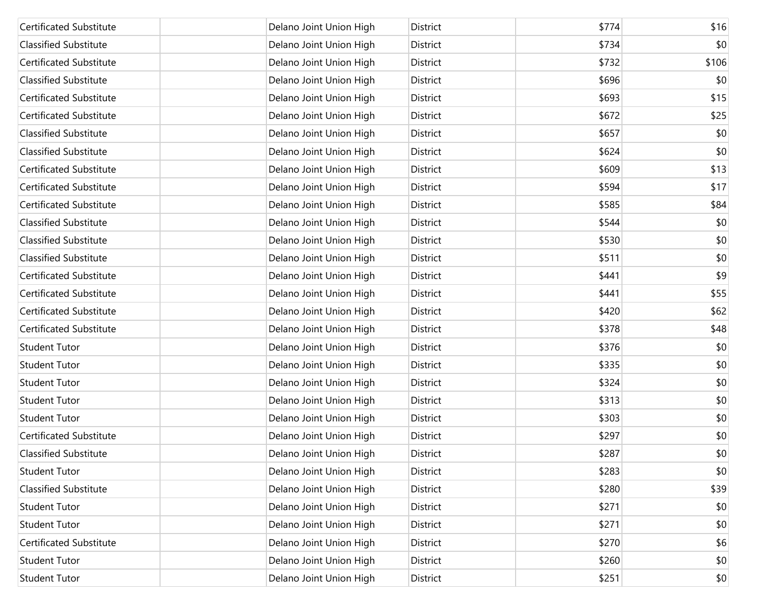| <b>Certificated Substitute</b> | Delano Joint Union High | <b>District</b> | \$774 | \$16         |
|--------------------------------|-------------------------|-----------------|-------|--------------|
| <b>Classified Substitute</b>   | Delano Joint Union High | District        | \$734 | \$0          |
| <b>Certificated Substitute</b> | Delano Joint Union High | District        | \$732 | \$106        |
| <b>Classified Substitute</b>   | Delano Joint Union High | District        | \$696 | \$0          |
| <b>Certificated Substitute</b> | Delano Joint Union High | District        | \$693 | \$15         |
| <b>Certificated Substitute</b> | Delano Joint Union High | District        | \$672 | \$25         |
| <b>Classified Substitute</b>   | Delano Joint Union High | District        | \$657 | \$0          |
| <b>Classified Substitute</b>   | Delano Joint Union High | District        | \$624 | \$0          |
| <b>Certificated Substitute</b> | Delano Joint Union High | District        | \$609 | \$13         |
| <b>Certificated Substitute</b> | Delano Joint Union High | District        | \$594 | \$17         |
| <b>Certificated Substitute</b> | Delano Joint Union High | District        | \$585 | \$84         |
| <b>Classified Substitute</b>   | Delano Joint Union High | District        | \$544 | \$0          |
| <b>Classified Substitute</b>   | Delano Joint Union High | District        | \$530 | \$0          |
| <b>Classified Substitute</b>   | Delano Joint Union High | District        | \$511 | \$0          |
| <b>Certificated Substitute</b> | Delano Joint Union High | District        | \$441 | \$9          |
| <b>Certificated Substitute</b> | Delano Joint Union High | District        | \$441 | \$55         |
| <b>Certificated Substitute</b> | Delano Joint Union High | District        | \$420 | \$62         |
| <b>Certificated Substitute</b> | Delano Joint Union High | District        | \$378 | \$48         |
| <b>Student Tutor</b>           | Delano Joint Union High | District        | \$376 | \$0          |
| <b>Student Tutor</b>           | Delano Joint Union High | District        | \$335 | \$0          |
| <b>Student Tutor</b>           | Delano Joint Union High | District        | \$324 | \$0          |
| <b>Student Tutor</b>           | Delano Joint Union High | District        | \$313 | \$0          |
| <b>Student Tutor</b>           | Delano Joint Union High | District        | \$303 | \$0          |
| <b>Certificated Substitute</b> | Delano Joint Union High | District        | \$297 | \$0          |
| <b>Classified Substitute</b>   | Delano Joint Union High | District        | \$287 | \$0          |
| <b>Student Tutor</b>           | Delano Joint Union High | District        | \$283 | \$0          |
| Classified Substitute          | Delano Joint Union High | District        | \$280 | \$39         |
| <b>Student Tutor</b>           | Delano Joint Union High | District        | \$271 | \$0          |
| <b>Student Tutor</b>           | Delano Joint Union High | District        | \$271 | \$0          |
| Certificated Substitute        | Delano Joint Union High | District        | \$270 | \$6          |
| <b>Student Tutor</b>           | Delano Joint Union High | District        | \$260 | \$0          |
| <b>Student Tutor</b>           | Delano Joint Union High | District        | \$251 | $ 10\rangle$ |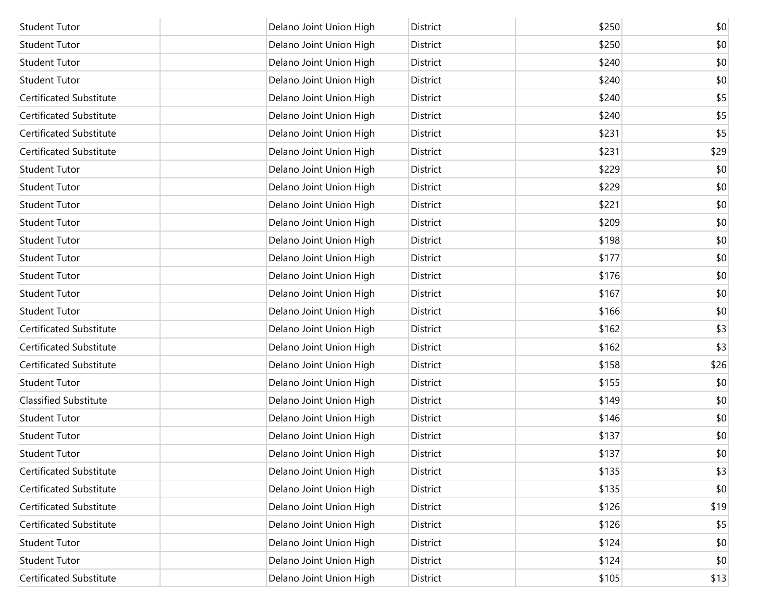| <b>Student Tutor</b>           | Delano Joint Union High | District | \$250 | \$0  |
|--------------------------------|-------------------------|----------|-------|------|
| <b>Student Tutor</b>           | Delano Joint Union High | District | \$250 | \$0  |
| <b>Student Tutor</b>           | Delano Joint Union High | District | \$240 | \$0  |
| <b>Student Tutor</b>           | Delano Joint Union High | District | \$240 | \$0  |
| Certificated Substitute        | Delano Joint Union High | District | \$240 | \$5  |
| <b>Certificated Substitute</b> | Delano Joint Union High | District | \$240 | \$5  |
| <b>Certificated Substitute</b> | Delano Joint Union High | District | \$231 | \$5  |
| <b>Certificated Substitute</b> | Delano Joint Union High | District | \$231 | \$29 |
| <b>Student Tutor</b>           | Delano Joint Union High | District | \$229 | \$0  |
| <b>Student Tutor</b>           | Delano Joint Union High | District | \$229 | \$0  |
| <b>Student Tutor</b>           | Delano Joint Union High | District | \$221 | \$0  |
| <b>Student Tutor</b>           | Delano Joint Union High | District | \$209 | \$0  |
| <b>Student Tutor</b>           | Delano Joint Union High | District | \$198 | \$0  |
| <b>Student Tutor</b>           | Delano Joint Union High | District | \$177 | \$0  |
| <b>Student Tutor</b>           | Delano Joint Union High | District | \$176 | \$0  |
| <b>Student Tutor</b>           | Delano Joint Union High | District | \$167 | \$0  |
| <b>Student Tutor</b>           | Delano Joint Union High | District | \$166 | \$0  |
| <b>Certificated Substitute</b> | Delano Joint Union High | District | \$162 | \$3  |
| <b>Certificated Substitute</b> | Delano Joint Union High | District | \$162 | \$3  |
| Certificated Substitute        | Delano Joint Union High | District | \$158 | \$26 |
| <b>Student Tutor</b>           | Delano Joint Union High | District | \$155 | \$0  |
| <b>Classified Substitute</b>   | Delano Joint Union High | District | \$149 | \$0  |
| <b>Student Tutor</b>           | Delano Joint Union High | District | \$146 | \$0  |
| <b>Student Tutor</b>           | Delano Joint Union High | District | \$137 | \$0  |
| <b>Student Tutor</b>           | Delano Joint Union High | District | \$137 | \$0  |
| Certificated Substitute        | Delano Joint Union High | District | \$135 | \$3  |
| Certificated Substitute        | Delano Joint Union High | District | \$135 | \$0  |
| Certificated Substitute        | Delano Joint Union High | District | \$126 | \$19 |
| <b>Certificated Substitute</b> | Delano Joint Union High | District | \$126 | \$5  |
| <b>Student Tutor</b>           | Delano Joint Union High | District | \$124 | \$0  |
| <b>Student Tutor</b>           | Delano Joint Union High | District | \$124 | \$0  |
| <b>Certificated Substitute</b> | Delano Joint Union High | District | \$105 | \$13 |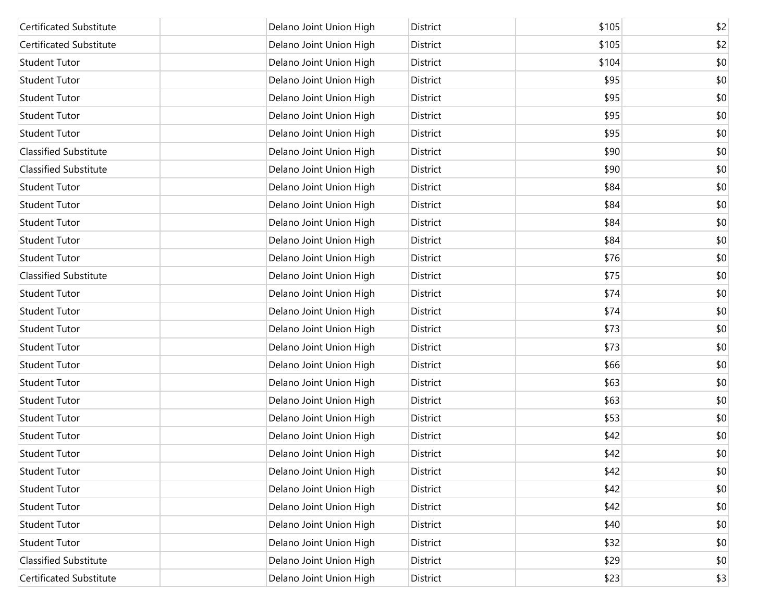| <b>Certificated Substitute</b> | Delano Joint Union High | District | \$105 | \$2 |
|--------------------------------|-------------------------|----------|-------|-----|
| <b>Certificated Substitute</b> | Delano Joint Union High | District | \$105 | \$2 |
| <b>Student Tutor</b>           | Delano Joint Union High | District | \$104 | \$0 |
| <b>Student Tutor</b>           | Delano Joint Union High | District | \$95  | \$0 |
| <b>Student Tutor</b>           | Delano Joint Union High | District | \$95  | \$0 |
| <b>Student Tutor</b>           | Delano Joint Union High | District | \$95  | \$0 |
| <b>Student Tutor</b>           | Delano Joint Union High | District | \$95  | \$0 |
| <b>Classified Substitute</b>   | Delano Joint Union High | District | \$90  | \$0 |
| <b>Classified Substitute</b>   | Delano Joint Union High | District | \$90  | \$0 |
| <b>Student Tutor</b>           | Delano Joint Union High | District | \$84  | \$0 |
| <b>Student Tutor</b>           | Delano Joint Union High | District | \$84  | \$0 |
| <b>Student Tutor</b>           | Delano Joint Union High | District | \$84  | \$0 |
| <b>Student Tutor</b>           | Delano Joint Union High | District | \$84  | \$0 |
| <b>Student Tutor</b>           | Delano Joint Union High | District | \$76  | \$0 |
| <b>Classified Substitute</b>   | Delano Joint Union High | District | \$75  | \$0 |
| <b>Student Tutor</b>           | Delano Joint Union High | District | \$74  | \$0 |
| <b>Student Tutor</b>           | Delano Joint Union High | District | \$74  | \$0 |
| <b>Student Tutor</b>           | Delano Joint Union High | District | \$73  | \$0 |
| <b>Student Tutor</b>           | Delano Joint Union High | District | \$73  | \$0 |
| <b>Student Tutor</b>           | Delano Joint Union High | District | \$66  | \$0 |
| <b>Student Tutor</b>           | Delano Joint Union High | District | \$63  | \$0 |
| <b>Student Tutor</b>           | Delano Joint Union High | District | \$63  | \$0 |
| <b>Student Tutor</b>           | Delano Joint Union High | District | \$53  | \$0 |
| <b>Student Tutor</b>           | Delano Joint Union High | District | \$42  | \$0 |
| <b>Student Tutor</b>           | Delano Joint Union High | District | \$42  | \$0 |
| <b>Student Tutor</b>           | Delano Joint Union High | District | \$42  | \$0 |
| <b>Student Tutor</b>           | Delano Joint Union High | District | \$42  | \$0 |
| <b>Student Tutor</b>           | Delano Joint Union High | District | \$42  | \$0 |
| <b>Student Tutor</b>           | Delano Joint Union High | District | \$40  | \$0 |
| <b>Student Tutor</b>           | Delano Joint Union High | District | \$32  | \$0 |
| <b>Classified Substitute</b>   | Delano Joint Union High | District | \$29  | \$0 |
| Certificated Substitute        | Delano Joint Union High | District | \$23  | \$3 |